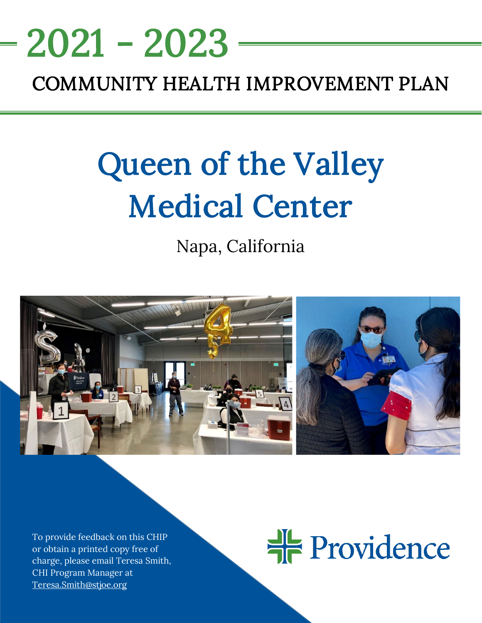# COMMUNITY HEALTH IMPROVEMENT PLAN 2021 - 2023

# Queen of the Valley Medical Center

Napa, California



To provide feedback on this CHIP or obtain a printed copy free of charge, please email Teresa Smith, CHI Program Manager at [Teresa.Smith@stjoe.org](mailto:Teresa.Smith@stjoe.org) 

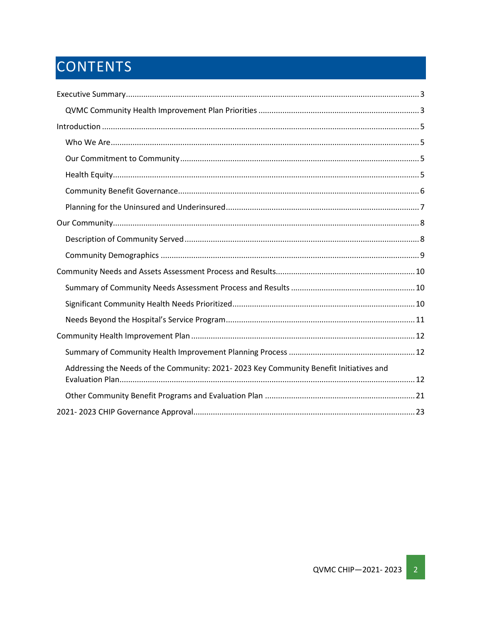# CONTENTS

| Addressing the Needs of the Community: 2021-2023 Key Community Benefit Initiatives and |
|----------------------------------------------------------------------------------------|
|                                                                                        |
|                                                                                        |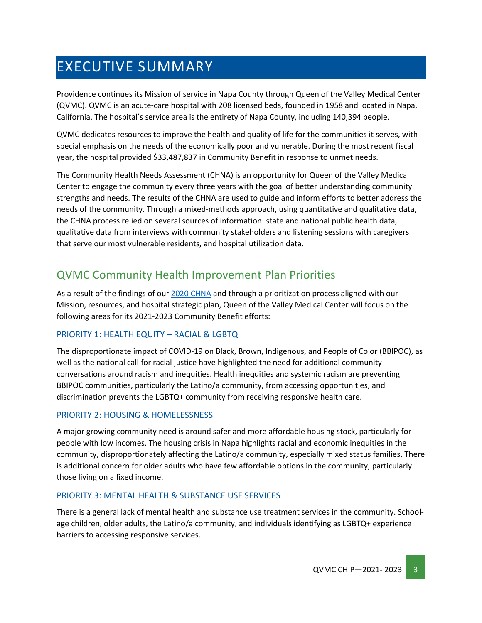# <span id="page-2-0"></span>EXECUTIVE SUMMARY

Providence continues its Mission of service in Napa County through Queen of the Valley Medical Center (QVMC). QVMC is an acute-care hospital with 208 licensed beds, founded in 1958 and located in Napa, California. The hospital's service area is the entirety of Napa County, including 140,394 people.

QVMC dedicates resources to improve the health and quality of life for the communities it serves, with special emphasis on the needs of the economically poor and vulnerable. During the most recent fiscal year, the hospital provided \$33,487,837 in Community Benefit in response to unmet needs.

The Community Health Needs Assessment (CHNA) is an opportunity for Queen of the Valley Medical Center to engage the community every three years with the goal of better understanding community strengths and needs. The results of the CHNA are used to guide and inform efforts to better address the needs of the community. Through a mixed-methods approach, using quantitative and qualitative data, the CHNA process relied on several sources of information: state and national public health data, qualitative data from interviews with community stakeholders and listening sessions with caregivers that serve our most vulnerable residents, and hospital utilization data.

## <span id="page-2-1"></span>QVMC Community Health Improvement Plan Priorities

As a result of the findings of our [2020 CHNA](https://www.providence.org/about/annual-report/chna-and-chip-reports) and through a prioritization process aligned with our Mission, resources, and hospital strategic plan, Queen of the Valley Medical Center will focus on the following areas for its 2021-2023 Community Benefit efforts:

#### PRIORITY 1: HEALTH EQUITY – RACIAL & LGBTQ

The disproportionate impact of COVID-19 on Black, Brown, Indigenous, and People of Color (BBIPOC), as well as the national call for racial justice have highlighted the need for additional community conversations around racism and inequities. Health inequities and systemic racism are preventing BBIPOC communities, particularly the Latino/a community, from accessing opportunities, and discrimination prevents the LGBTQ+ community from receiving responsive health care.

#### PRIORITY 2: HOUSING & HOMELESSNESS

A major growing community need is around safer and more affordable housing stock, particularly for people with low incomes. The housing crisis in Napa highlights racial and economic inequities in the community, disproportionately affecting the Latino/a community, especially mixed status families. There is additional concern for older adults who have few affordable options in the community, particularly those living on a fixed income.

#### PRIORITY 3: MENTAL HEALTH & SUBSTANCE USE SERVICES

There is a general lack of mental health and substance use treatment services in the community. Schoolage children, older adults, the Latino/a community, and individuals identifying as LGBTQ+ experience barriers to accessing responsive services.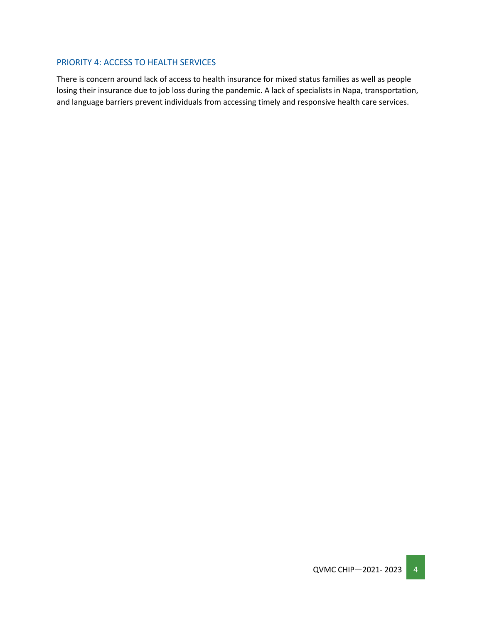#### PRIORITY 4: ACCESS TO HEALTH SERVICES

There is concern around lack of access to health insurance for mixed status families as well as people losing their insurance due to job loss during the pandemic. A lack of specialists in Napa, transportation, and language barriers prevent individuals from accessing timely and responsive health care services.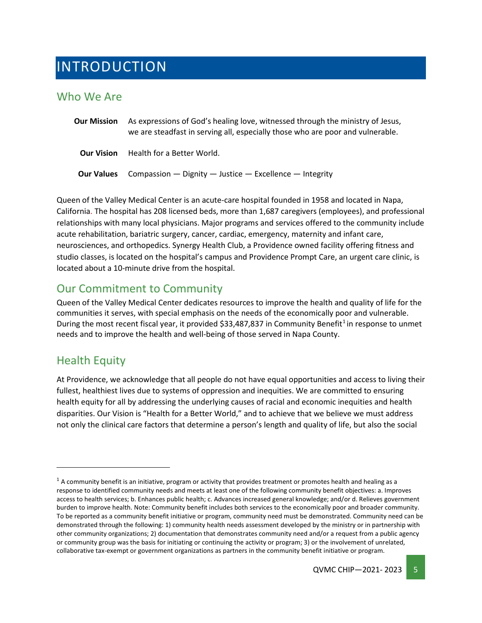## <span id="page-4-0"></span>INTRODUCTION

### <span id="page-4-1"></span>Who We Are

| <b>Our Mission</b> | As expressions of God's healing love, witnessed through the ministry of Jesus,<br>we are steadfast in serving all, especially those who are poor and vulnerable. |  |  |
|--------------------|------------------------------------------------------------------------------------------------------------------------------------------------------------------|--|--|
| <b>Our Vision</b>  | Health for a Better World.                                                                                                                                       |  |  |
| <b>Our Values</b>  | Compassion $-$ Dignity $-$ Justice $-$ Excellence $-$ Integrity                                                                                                  |  |  |

Queen of the Valley Medical Center is an acute-care hospital founded in 1958 and located in Napa, California. The hospital has 208 licensed beds, more than 1,687 caregivers (employees), and professional relationships with many local physicians. Major programs and services offered to the community include acute rehabilitation, bariatric surgery, cancer, cardiac, emergency, maternity and infant care, neurosciences, and orthopedics. Synergy Health Club, a Providence owned facility offering fitness and studio classes, is located on the hospital's campus and Providence Prompt Care, an urgent care clinic, is located about a 10-minute drive from the hospital.

## <span id="page-4-2"></span>Our Commitment to Community

Queen of the Valley Medical Center dedicates resources to improve the health and quality of life for the communities it serves, with special emphasis on the needs of the economically poor and vulnerable. During the most recent fiscal year, it provided \$33,487,837 in Community Benefit<sup>1</sup> in response to unmet needs and to improve the health and well-being of those served in Napa County.

## <span id="page-4-3"></span>Health Equity

At Providence, we acknowledge that all people do not have equal opportunities and access to living their fullest, healthiest lives due to systems of oppression and inequities. We are committed to ensuring health equity for all by addressing the underlying causes of racial and economic inequities and health disparities. Our Vision is "Health for a Better World," and to achieve that we believe we must address not only the clinical care factors that determine a person's length and quality of life, but also the social

<span id="page-4-4"></span> $<sup>1</sup>$  A community benefit is an initiative, program or activity that provides treatment or promotes health and healing as a</sup> response to identified community needs and meets at least one of the following community benefit objectives: a. Improves access to health services; b. Enhances public health; c. Advances increased general knowledge; and/or d. Relieves government burden to improve health. Note: Community benefit includes both services to the economically poor and broader community. To be reported as a community benefit initiative or program, community need must be demonstrated. Community need can be demonstrated through the following: 1) community health needs assessment developed by the ministry or in partnership with other community organizations; 2) documentation that demonstrates community need and/or a request from a public agency or community group was the basis for initiating or continuing the activity or program; 3) or the involvement of unrelated, collaborative tax-exempt or government organizations as partners in the community benefit initiative or program.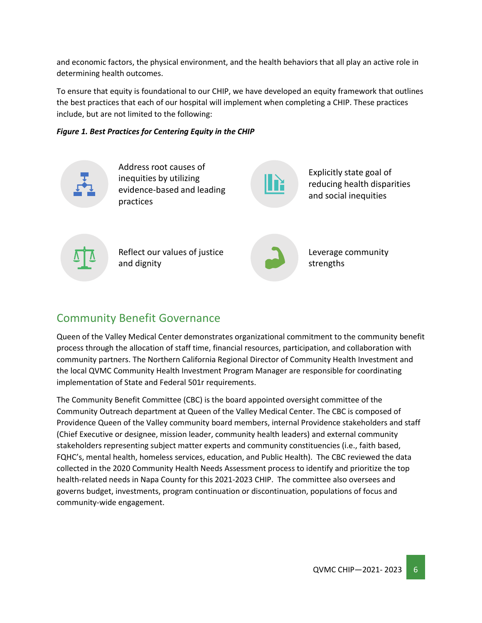and economic factors, the physical environment, and the health behaviors that all play an active role in determining health outcomes.

To ensure that equity is foundational to our CHIP, we have developed an equity framework that outlines the best practices that each of our hospital will implement when completing a CHIP. These practices include, but are not limited to the following:





Address root causes of inequities by utilizing evidence-based and leading practices



Explicitly state goal of reducing health disparities and social inequities

Reflect our values of justice and dignity



Leverage community strengths

## <span id="page-5-0"></span>Community Benefit Governance

Queen of the Valley Medical Center demonstrates organizational commitment to the community benefit process through the allocation of staff time, financial resources, participation, and collaboration with community partners. The Northern California Regional Director of Community Health Investment and the local QVMC Community Health Investment Program Manager are responsible for coordinating implementation of State and Federal 501r requirements.

The Community Benefit Committee (CBC) is the board appointed oversight committee of the Community Outreach department at Queen of the Valley Medical Center. The CBC is composed of Providence Queen of the Valley community board members, internal Providence stakeholders and staff (Chief Executive or designee, mission leader, community health leaders) and external community stakeholders representing subject matter experts and community constituencies (i.e., faith based, FQHC's, mental health, homeless services, education, and Public Health). The CBC reviewed the data collected in the 2020 Community Health Needs Assessment process to identify and prioritize the top health-related needs in Napa County for this 2021-2023 CHIP. The committee also oversees and governs budget, investments, program continuation or discontinuation, populations of focus and community-wide engagement.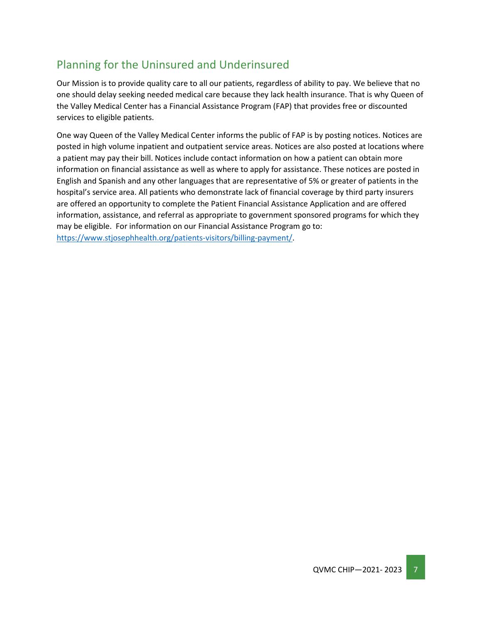## <span id="page-6-0"></span>Planning for the Uninsured and Underinsured

Our Mission is to provide quality care to all our patients, regardless of ability to pay. We believe that no one should delay seeking needed medical care because they lack health insurance. That is why Queen of the Valley Medical Center has a Financial Assistance Program (FAP) that provides free or discounted services to eligible patients.

One way Queen of the Valley Medical Center informs the public of FAP is by posting notices. Notices are posted in high volume inpatient and outpatient service areas. Notices are also posted at locations where a patient may pay their bill. Notices include contact information on how a patient can obtain more information on financial assistance as well as where to apply for assistance. These notices are posted in English and Spanish and any other languages that are representative of 5% or greater of patients in the hospital's service area. All patients who demonstrate lack of financial coverage by third party insurers are offered an opportunity to complete the Patient Financial Assistance Application and are offered information, assistance, and referral as appropriate to government sponsored programs for which they may be eligible. For information on our Financial Assistance Program go to: [https://www.stjosephhealth.org/patients-visitors/billing-payment/.](https://www.stjosephhealth.org/patients-visitors/billing-payment/)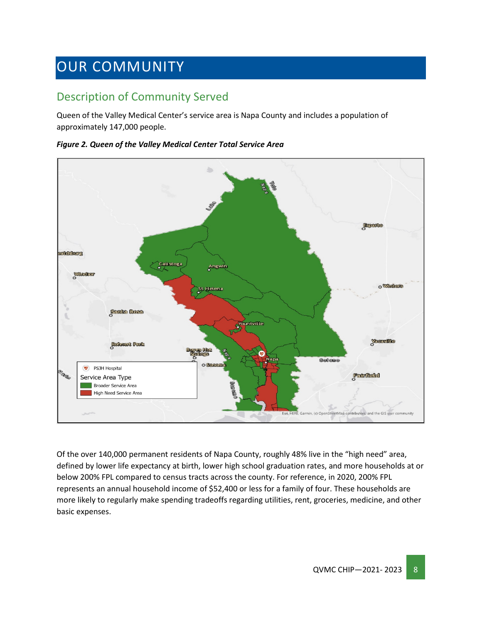# <span id="page-7-0"></span>OUR COMMUNITY

## <span id="page-7-1"></span>Description of Community Served

Queen of the Valley Medical Center's service area is Napa County and includes a population of approximately 147,000 people.

*Figure 2. Queen of the Valley Medical Center Total Service Area*



Of the over 140,000 permanent residents of Napa County, roughly 48% live in the "high need" area, defined by lower life expectancy at birth, lower high school graduation rates, and more households at or below 200% FPL compared to census tracts across the county. For reference, in 2020, 200% FPL represents an annual household income of \$52,400 or less for a family of four. These households are more likely to regularly make spending tradeoffs regarding utilities, rent, groceries, medicine, and other basic expenses.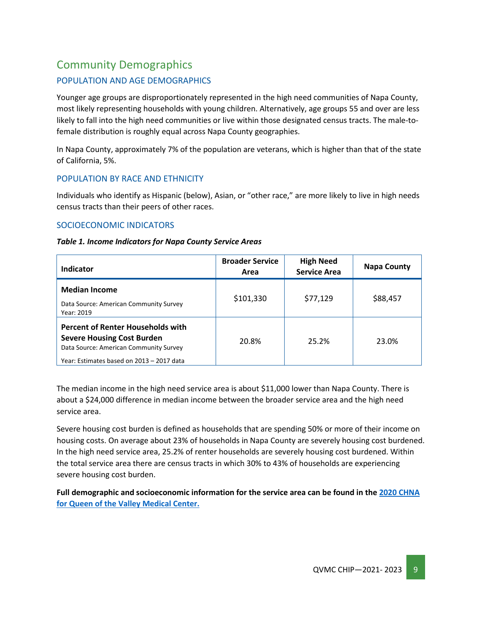## <span id="page-8-0"></span>Community Demographics

#### POPULATION AND AGE DEMOGRAPHICS

Younger age groups are disproportionately represented in the high need communities of Napa County, most likely representing households with young children. Alternatively, age groups 55 and over are less likely to fall into the high need communities or live within those designated census tracts. The male-tofemale distribution is roughly equal across Napa County geographies.

In Napa County, approximately 7% of the population are veterans, which is higher than that of the state of California, 5%.

#### POPULATION BY RACE AND ETHNICITY

Individuals who identify as Hispanic (below), Asian, or "other race," are more likely to live in high needs census tracts than their peers of other races.

#### SOCIOECONOMIC INDICATORS

| Indicator                                                                                                                                                            | <b>Broader Service</b><br>Area | <b>High Need</b><br><b>Service Area</b> | <b>Napa County</b> |
|----------------------------------------------------------------------------------------------------------------------------------------------------------------------|--------------------------------|-----------------------------------------|--------------------|
| <b>Median Income</b><br>Data Source: American Community Survey<br>Year: 2019                                                                                         | \$101,330                      | \$77,129                                | \$88,457           |
| <b>Percent of Renter Households with</b><br><b>Severe Housing Cost Burden</b><br>Data Source: American Community Survey<br>Year: Estimates based on 2013 - 2017 data | 20.8%                          | 25.2%                                   | 23.0%              |

The median income in the high need service area is about \$11,000 lower than Napa County. There is about a \$24,000 difference in median income between the broader service area and the high need service area.

Severe housing cost burden is defined as households that are spending 50% or more of their income on housing costs. On average about 23% of households in Napa County are severely housing cost burdened. In the high need service area, 25.2% of renter households are severely housing cost burdened. Within the total service area there are census tracts in which 30% to 43% of households are experiencing severe housing cost burden.

**Full demographic and socioeconomic information for the service area can be found in the 2020 [CHNA](https://www.providence.org/about/annual-report/chna-and-chip-reports)  [for Queen of the Valley Medical Center.](https://www.providence.org/about/annual-report/chna-and-chip-reports)**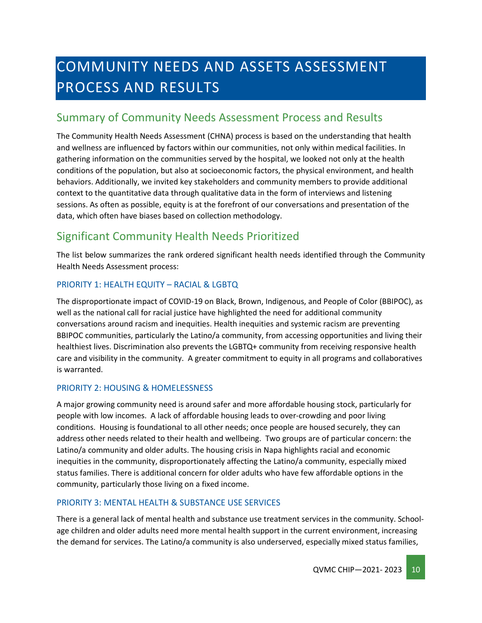# <span id="page-9-0"></span>COMMUNITY NEEDS AND ASSETS ASSESSMENT PROCESS AND RESULTS

## <span id="page-9-1"></span>Summary of Community Needs Assessment Process and Results

The Community Health Needs Assessment (CHNA) process is based on the understanding that health and wellness are influenced by factors within our communities, not only within medical facilities. In gathering information on the communities served by the hospital, we looked not only at the health conditions of the population, but also at socioeconomic factors, the physical environment, and health behaviors. Additionally, we invited key stakeholders and community members to provide additional context to the quantitative data through qualitative data in the form of interviews and listening sessions. As often as possible, equity is at the forefront of our conversations and presentation of the data, which often have biases based on collection methodology.

## <span id="page-9-2"></span>Significant Community Health Needs Prioritized

The list below summarizes the rank ordered significant health needs identified through the Community Health Needs Assessment process:

#### PRIORITY 1: HEALTH EQUITY – RACIAL & LGBTQ

The disproportionate impact of COVID-19 on Black, Brown, Indigenous, and People of Color (BBIPOC), as well as the national call for racial justice have highlighted the need for additional community conversations around racism and inequities. Health inequities and systemic racism are preventing BBIPOC communities, particularly the Latino/a community, from accessing opportunities and living their healthiest lives. Discrimination also prevents the LGBTQ+ community from receiving responsive health care and visibility in the community. A greater commitment to equity in all programs and collaboratives is warranted.

#### PRIORITY 2: HOUSING & HOMELESSNESS

A major growing community need is around safer and more affordable housing stock, particularly for people with low incomes. A lack of affordable housing leads to over-crowding and poor living conditions. Housing is foundational to all other needs; once people are housed securely, they can address other needs related to their health and wellbeing. Two groups are of particular concern: the Latino/a community and older adults. The housing crisis in Napa highlights racial and economic inequities in the community, disproportionately affecting the Latino/a community, especially mixed status families. There is additional concern for older adults who have few affordable options in the community, particularly those living on a fixed income.

#### PRIORITY 3: MENTAL HEALTH & SUBSTANCE USE SERVICES

There is a general lack of mental health and substance use treatment services in the community. Schoolage children and older adults need more mental health support in the current environment, increasing the demand for services. The Latino/a community is also underserved, especially mixed status families,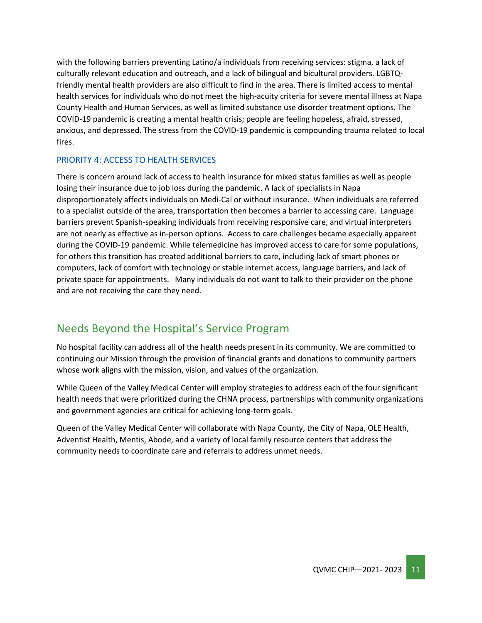with the following barriers preventing Latino/a individuals from receiving services: stigma, a lack of culturally relevant education and outreach, and a lack of bilingual and bicultural providers. LGBTQfriendly mental health providers are also difficult to find in the area. There is limited access to mental health services for individuals who do not meet the high-acuity criteria for severe mental illness at Napa County Health and Human Services, as well as limited substance use disorder treatment options. The COVID-19 pandemic is creating a mental health crisis; people are feeling hopeless, afraid, stressed, anxious, and depressed. The stress from the COVID-19 pandemic is compounding trauma related to local fires.

#### PRIORITY 4: ACCESS TO HEALTH SERVICES

There is concern around lack of access to health insurance for mixed status families as well as people losing their insurance due to job loss during the pandemic. A lack of specialists in Napa disproportionately affects individuals on Medi-Cal or without insurance. When individuals are referred to a specialist outside of the area, transportation then becomes a barrier to accessing care. Language barriers prevent Spanish-speaking individuals from receiving responsive care, and virtual interpreters are not nearly as effective as in-person options. Access to care challenges became especially apparent during the COVID-19 pandemic. While telemedicine has improved access to care for some populations, for others this transition has created additional barriers to care, including lack of smart phones or computers, lack of comfort with technology or stable internet access, language barriers, and lack of private space for appointments. Many individuals do not want to talk to their provider on the phone and are not receiving the care they need.

## <span id="page-10-0"></span>Needs Beyond the Hospital's Service Program

No hospital facility can address all of the health needs present in its community. We are committed to continuing our Mission through the provision of financial grants and donations to community partners whose work aligns with the mission, vision, and values of the organization.

While Queen of the Valley Medical Center will employ strategies to address each of the four significant health needs that were prioritized during the CHNA process, partnerships with community organizations and government agencies are critical for achieving long-term goals.

Queen of the Valley Medical Center will collaborate with Napa County, the City of Napa, OLE Health, Adventist Health, Mentis, Abode, and a variety of local family resource centers that address the community needs to coordinate care and referrals to address unmet needs.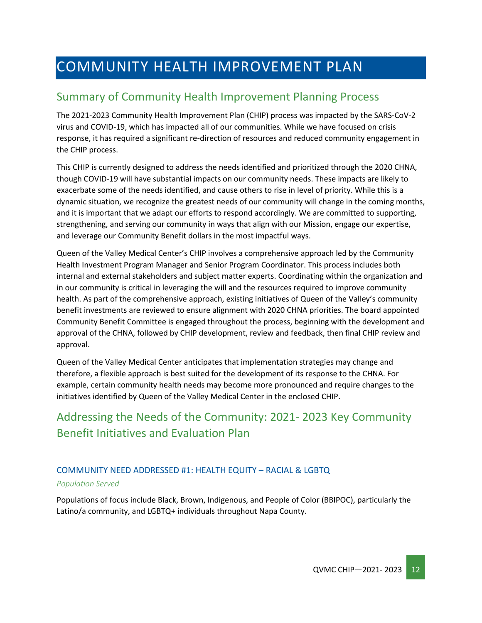# <span id="page-11-0"></span>COMMUNITY HEALTH IMPROVEMENT PLAN

## <span id="page-11-1"></span>Summary of Community Health Improvement Planning Process

The 2021-2023 Community Health Improvement Plan (CHIP) process was impacted by the SARS-CoV-2 virus and COVID-19, which has impacted all of our communities. While we have focused on crisis response, it has required a significant re-direction of resources and reduced community engagement in the CHIP process.

This CHIP is currently designed to address the needs identified and prioritized through the 2020 CHNA, though COVID-19 will have substantial impacts on our community needs. These impacts are likely to exacerbate some of the needs identified, and cause others to rise in level of priority. While this is a dynamic situation, we recognize the greatest needs of our community will change in the coming months, and it is important that we adapt our efforts to respond accordingly. We are committed to supporting, strengthening, and serving our community in ways that align with our Mission, engage our expertise, and leverage our Community Benefit dollars in the most impactful ways.

Queen of the Valley Medical Center's CHIP involves a comprehensive approach led by the Community Health Investment Program Manager and Senior Program Coordinator. This process includes both internal and external stakeholders and subject matter experts. Coordinating within the organization and in our community is critical in leveraging the will and the resources required to improve community health. As part of the comprehensive approach, existing initiatives of Queen of the Valley's community benefit investments are reviewed to ensure alignment with 2020 CHNA priorities. The board appointed Community Benefit Committee is engaged throughout the process, beginning with the development and approval of the CHNA, followed by CHIP development, review and feedback, then final CHIP review and approval.

Queen of the Valley Medical Center anticipates that implementation strategies may change and therefore, a flexible approach is best suited for the development of its response to the CHNA. For example, certain community health needs may become more pronounced and require changes to the initiatives identified by Queen of the Valley Medical Center in the enclosed CHIP.

## <span id="page-11-2"></span>Addressing the Needs of the Community: 2021- 2023 Key Community Benefit Initiatives and Evaluation Plan

#### COMMUNITY NEED ADDRESSED #1: HEALTH EQUITY – RACIAL & LGBTQ

#### *Population Served*

Populations of focus include Black, Brown, Indigenous, and People of Color (BBIPOC), particularly the Latino/a community, and LGBTQ+ individuals throughout Napa County.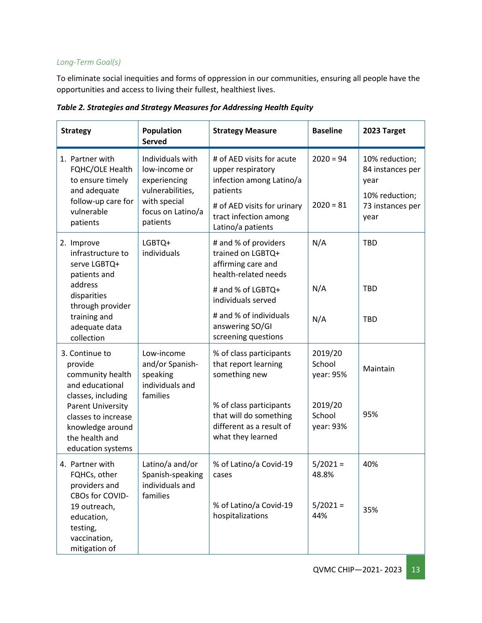#### *Long-Term Goal(s)*

To eliminate social inequities and forms of oppression in our communities, ensuring all people have the opportunities and access to living their fullest, healthiest lives.

| <b>Strategy</b>                                                                                                                                               | Population<br><b>Served</b>                                                                                            | <b>Strategy Measure</b>                                                                                                                                             | <b>Baseline</b>                                                  | 2023 Target                                                                              |
|---------------------------------------------------------------------------------------------------------------------------------------------------------------|------------------------------------------------------------------------------------------------------------------------|---------------------------------------------------------------------------------------------------------------------------------------------------------------------|------------------------------------------------------------------|------------------------------------------------------------------------------------------|
| 1. Partner with<br>FQHC/OLE Health<br>to ensure timely<br>and adequate<br>follow-up care for<br>vulnerable<br>patients                                        | Individuals with<br>low-income or<br>experiencing<br>vulnerabilities,<br>with special<br>focus on Latino/a<br>patients | # of AED visits for acute<br>upper respiratory<br>infection among Latino/a<br>patients<br># of AED visits for urinary<br>tract infection among<br>Latino/a patients | $2020 = 94$<br>$2020 = 81$                                       | 10% reduction;<br>84 instances per<br>year<br>10% reduction;<br>73 instances per<br>year |
| 2. Improve<br>infrastructure to<br>serve LGBTQ+<br>patients and<br>address                                                                                    | LGBTQ+<br>individuals                                                                                                  | # and % of providers<br>trained on LGBTQ+<br>affirming care and<br>health-related needs<br># and % of LGBTQ+                                                        | N/A<br>N/A                                                       | <b>TBD</b><br><b>TBD</b>                                                                 |
| disparities<br>through provider<br>training and<br>adequate data<br>collection                                                                                |                                                                                                                        | individuals served<br># and % of individuals<br>answering SO/GI<br>screening questions                                                                              | N/A                                                              | <b>TBD</b>                                                                               |
| 3. Continue to<br>provide<br>community health<br>and educational<br>classes, including<br><b>Parent University</b><br>classes to increase<br>knowledge around | Low-income<br>and/or Spanish-<br>speaking<br>individuals and<br>families                                               | % of class participants<br>that report learning<br>something new<br>% of class participants<br>that will do something<br>different as a result of                   | 2019/20<br>School<br>year: 95%<br>2019/20<br>School<br>year: 93% | Maintain<br>95%                                                                          |
| the health and<br>education systems                                                                                                                           |                                                                                                                        | what they learned                                                                                                                                                   |                                                                  |                                                                                          |
| 4. Partner with<br>FQHCs, other<br>providers and<br>CBOs for COVID-<br>19 outreach,<br>education,                                                             | Latino/a and/or<br>Spanish-speaking<br>individuals and<br>families                                                     | % of Latino/a Covid-19<br>cases<br>% of Latino/a Covid-19<br>hospitalizations                                                                                       | $5/2021 =$<br>48.8%<br>$5/2021 =$<br>44%                         | 40%<br>35%                                                                               |
| testing,<br>vaccination,<br>mitigation of                                                                                                                     |                                                                                                                        |                                                                                                                                                                     |                                                                  |                                                                                          |

*Table 2. Strategies and Strategy Measures for Addressing Health Equity*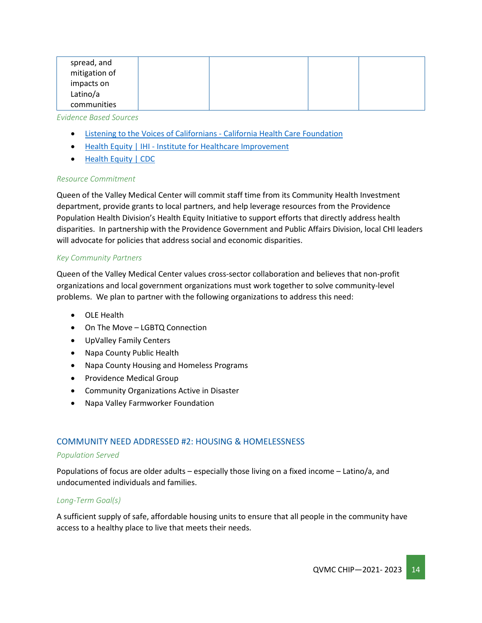| spread, and   |  |  |
|---------------|--|--|
| mitigation of |  |  |
| impacts on    |  |  |
| Latino/a      |  |  |
| communities   |  |  |
|               |  |  |

#### *Evidence Based Sources*

- [Listening to the Voices of Californians -](https://www.chcf.org/collection/listening-californians/) California Health Care Foundation
- Health Equity | IHI [Institute for Healthcare Improvement](http://www.ihi.org/Topics/Health-Equity/Pages/default.aspx)
- [Health Equity | CDC](https://www.cdc.gov/chronicdisease/healthequity/index.htm)

#### *Resource Commitment*

Queen of the Valley Medical Center will commit staff time from its Community Health Investment department, provide grants to local partners, and help leverage resources from the Providence Population Health Division's Health Equity Initiative to support efforts that directly address health disparities. In partnership with the Providence Government and Public Affairs Division, local CHI leaders will advocate for policies that address social and economic disparities.

#### *Key Community Partners*

Queen of the Valley Medical Center values cross-sector collaboration and believes that non-profit organizations and local government organizations must work together to solve community-level problems. We plan to partner with the following organizations to address this need:

- OLE Health
- On The Move LGBTQ Connection
- UpValley Family Centers
- Napa County Public Health
- Napa County Housing and Homeless Programs
- Providence Medical Group
- Community Organizations Active in Disaster
- Napa Valley Farmworker Foundation

#### COMMUNITY NEED ADDRESSED #2: HOUSING & HOMELESSNESS

#### *Population Served*

Populations of focus are older adults – especially those living on a fixed income – Latino/a, and undocumented individuals and families.

#### *Long-Term Goal(s)*

A sufficient supply of safe, affordable housing units to ensure that all people in the community have access to a healthy place to live that meets their needs.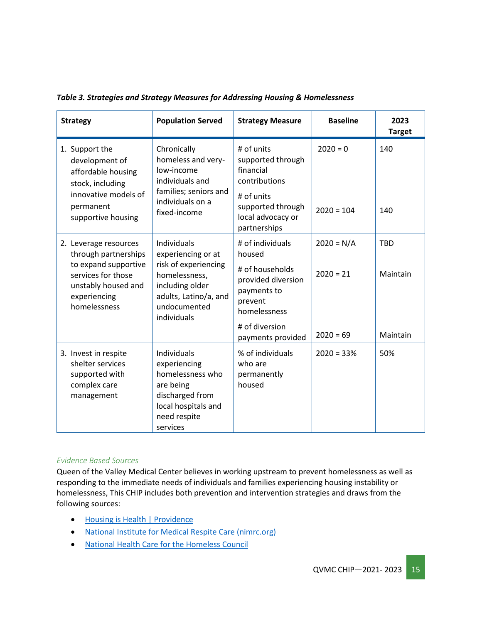| <b>Strategy</b>                                                                                                                                    | <b>Population Served</b>                                                                                                                              | <b>Strategy Measure</b>                                                                                                                              | <b>Baseline</b>                            | 2023<br><b>Target</b>              |
|----------------------------------------------------------------------------------------------------------------------------------------------------|-------------------------------------------------------------------------------------------------------------------------------------------------------|------------------------------------------------------------------------------------------------------------------------------------------------------|--------------------------------------------|------------------------------------|
| 1. Support the<br>development of<br>affordable housing<br>stock, including<br>innovative models of<br>permanent<br>supportive housing              | Chronically<br>homeless and very-<br>low-income<br>individuals and<br>families; seniors and<br>individuals on a<br>fixed-income                       | # of units<br>supported through<br>financial<br>contributions<br># of units<br>supported through<br>local advocacy or<br>partnerships                | $2020 = 0$<br>$2020 = 104$                 | 140<br>140                         |
| 2. Leverage resources<br>through partnerships<br>to expand supportive<br>services for those<br>unstably housed and<br>experiencing<br>homelessness | Individuals<br>experiencing or at<br>risk of experiencing<br>homelessness,<br>including older<br>adults, Latino/a, and<br>undocumented<br>individuals | # of individuals<br>housed<br># of households<br>provided diversion<br>payments to<br>prevent<br>homelessness<br># of diversion<br>payments provided | $2020 = N/A$<br>$2020 = 21$<br>$2020 = 69$ | <b>TBD</b><br>Maintain<br>Maintain |
| 3. Invest in respite<br>shelter services<br>supported with<br>complex care<br>management                                                           | <b>Individuals</b><br>experiencing<br>homelessness who<br>are being<br>discharged from<br>local hospitals and<br>need respite<br>services             | % of individuals<br>who are<br>permanently<br>housed                                                                                                 | $2020 = 33%$                               | 50%                                |

*Table 3. Strategies and Strategy Measures for Addressing Housing & Homelessness*

#### *Evidence Based Sources*

Queen of the Valley Medical Center believes in working upstream to prevent homelessness as well as responding to the immediate needs of individuals and families experiencing housing instability or homelessness, This CHIP includes both prevention and intervention strategies and draws from the following sources:

- [Housing is Health | Providence](https://www.providence.org/lp/housing-is-health)
- [National Institute for Medical Respite Care \(nimrc.org\)](https://nimrc.org/)
- [National Health Care for the Homeless Council](https://nhchc.org/)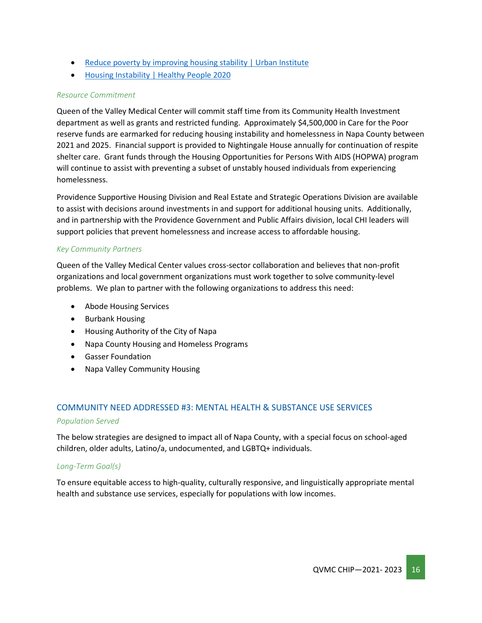- [Reduce poverty by improving housing stability | Urban Institute](https://www.urban.org/urban-wire/reduce-poverty-improving-housing-stability)
- [Housing Instability | Healthy People 2020](https://www.healthypeople.gov/2020/topics-objectives/topic/social-determinants-health/interventions-resources/housing-instability)

#### *Resource Commitment*

Queen of the Valley Medical Center will commit staff time from its Community Health Investment department as well as grants and restricted funding. Approximately \$4,500,000 in Care for the Poor reserve funds are earmarked for reducing housing instability and homelessness in Napa County between 2021 and 2025. Financial support is provided to Nightingale House annually for continuation of respite shelter care. Grant funds through the Housing Opportunities for Persons With AIDS (HOPWA) program will continue to assist with preventing a subset of unstably housed individuals from experiencing homelessness.

Providence Supportive Housing Division and Real Estate and Strategic Operations Division are available to assist with decisions around investments in and support for additional housing units. Additionally, and in partnership with the Providence Government and Public Affairs division, local CHI leaders will support policies that prevent homelessness and increase access to affordable housing.

#### *Key Community Partners*

Queen of the Valley Medical Center values cross-sector collaboration and believes that non-profit organizations and local government organizations must work together to solve community-level problems. We plan to partner with the following organizations to address this need:

- Abode Housing Services
- Burbank Housing
- Housing Authority of the City of Napa
- Napa County Housing and Homeless Programs
- Gasser Foundation
- Napa Valley Community Housing

## COMMUNITY NEED ADDRESSED #3: MENTAL HEALTH & SUBSTANCE USE SERVICES

#### *Population Served*

The below strategies are designed to impact all of Napa County, with a special focus on school-aged children, older adults, Latino/a, undocumented, and LGBTQ+ individuals.

#### *Long-Term Goal(s)*

To ensure equitable access to high-quality, culturally responsive, and linguistically appropriate mental health and substance use services, especially for populations with low incomes.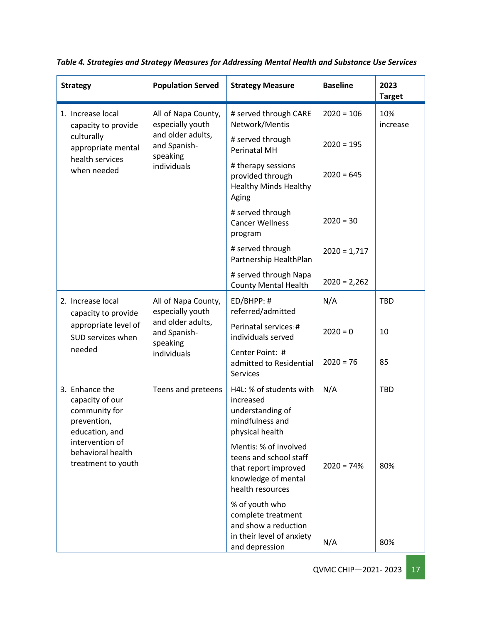| <b>Strategy</b>                                                                     | <b>Population Served</b>                                     | <b>Strategy Measure</b>                                                                                            | <b>Baseline</b> | 2023<br><b>Target</b> |
|-------------------------------------------------------------------------------------|--------------------------------------------------------------|--------------------------------------------------------------------------------------------------------------------|-----------------|-----------------------|
| 1. Increase local<br>capacity to provide                                            | All of Napa County,<br>especially youth                      | # served through CARE<br>Network/Mentis                                                                            | $2020 = 106$    | 10%<br>increase       |
| culturally<br>appropriate mental                                                    | and older adults,<br>and Spanish-<br>speaking                | # served through<br><b>Perinatal MH</b>                                                                            | $2020 = 195$    |                       |
| health services<br>when needed                                                      | individuals                                                  | # therapy sessions<br>provided through<br><b>Healthy Minds Healthy</b><br>Aging                                    | $2020 = 645$    |                       |
|                                                                                     |                                                              | # served through<br><b>Cancer Wellness</b><br>program                                                              | $2020 = 30$     |                       |
|                                                                                     |                                                              | # served through<br>Partnership HealthPlan                                                                         | $2020 = 1,717$  |                       |
|                                                                                     |                                                              | # served through Napa<br><b>County Mental Health</b>                                                               | $2020 = 2,262$  |                       |
| 2. Increase local<br>capacity to provide                                            | All of Napa County,<br>especially youth                      | ED/BHPP: #<br>referred/admitted                                                                                    | N/A             | <b>TBD</b>            |
| appropriate level of<br>SUD services when                                           | and older adults,<br>and Spanish-<br>speaking<br>individuals | Perinatal services: #<br>individuals served                                                                        | $2020 = 0$      | 10                    |
| needed                                                                              |                                                              | Center Point: #<br>admitted to Residential<br>Services                                                             | $2020 = 76$     | 85                    |
| 3. Enhance the<br>capacity of our<br>community for<br>prevention,<br>education, and | Teens and preteens                                           | H4L: % of students with<br>increased<br>understanding of<br>mindfulness and<br>physical health                     | N/A             | <b>TBD</b>            |
| intervention of<br>behavioral health<br>treatment to youth                          |                                                              | Mentis: % of involved<br>teens and school staff<br>that report improved<br>knowledge of mental<br>health resources | $2020 = 74%$    | 80%                   |
|                                                                                     |                                                              | % of youth who<br>complete treatment<br>and show a reduction                                                       |                 |                       |
|                                                                                     |                                                              | in their level of anxiety<br>and depression                                                                        | N/A             | 80%                   |

*Table 4. Strategies and Strategy Measures for Addressing Mental Health and Substance Use Services*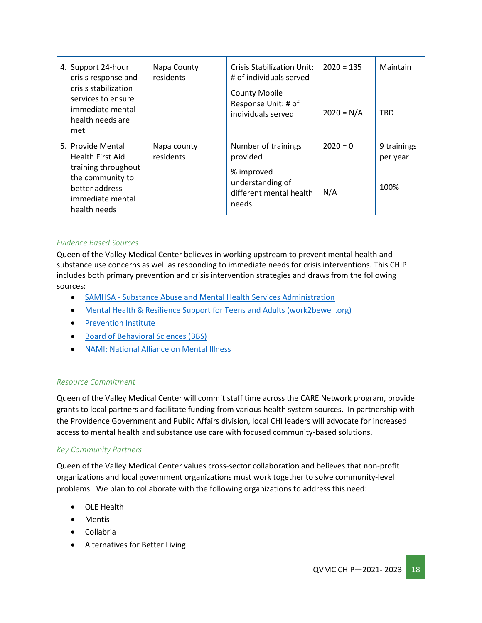| 4. Support 24-hour<br>crisis response and<br>crisis stabilization<br>services to ensure<br>immediate mental<br>health needs are<br>met        | Napa County<br>residents | <b>Crisis Stabilization Unit:</b><br># of individuals served<br><b>County Mobile</b><br>Response Unit: # of<br>individuals served | $2020 = 135$<br>$2020 = N/A$ | Maintain<br>TBD                 |
|-----------------------------------------------------------------------------------------------------------------------------------------------|--------------------------|-----------------------------------------------------------------------------------------------------------------------------------|------------------------------|---------------------------------|
| 5. Provide Mental<br><b>Health First Aid</b><br>training throughout<br>the community to<br>better address<br>immediate mental<br>health needs | Napa county<br>residents | Number of trainings<br>provided<br>% improved<br>understanding of<br>different mental health<br>needs                             | $2020 = 0$<br>N/A            | 9 trainings<br>per year<br>100% |

#### *Evidence Based Sources*

Queen of the Valley Medical Center believes in working upstream to prevent mental health and substance use concerns as well as responding to immediate needs for crisis interventions. This CHIP includes both primary prevention and crisis intervention strategies and draws from the following sources:

- SAMHSA [Substance Abuse and Mental Health Services Administration](https://www.samhsa.gov/)
- [Mental Health & Resilience Support for Teens and Adults \(work2bewell.org\)](https://work2bewell.org/)
- [Prevention Institute](https://www.preventioninstitute.org/)
- [Board of Behavioral Sciences \(BBS\)](https://www.bbs.ca.gov/)
- [NAMI: National Alliance on Mental Illness](https://www.nami.org/Home)

#### *Resource Commitment*

Queen of the Valley Medical Center will commit staff time across the CARE Network program, provide grants to local partners and facilitate funding from various health system sources. In partnership with the Providence Government and Public Affairs division, local CHI leaders will advocate for increased access to mental health and substance use care with focused community-based solutions.

#### *Key Community Partners*

Queen of the Valley Medical Center values cross-sector collaboration and believes that non-profit organizations and local government organizations must work together to solve community-level problems. We plan to collaborate with the following organizations to address this need:

- OLE Health
- Mentis
- Collabria
- Alternatives for Better Living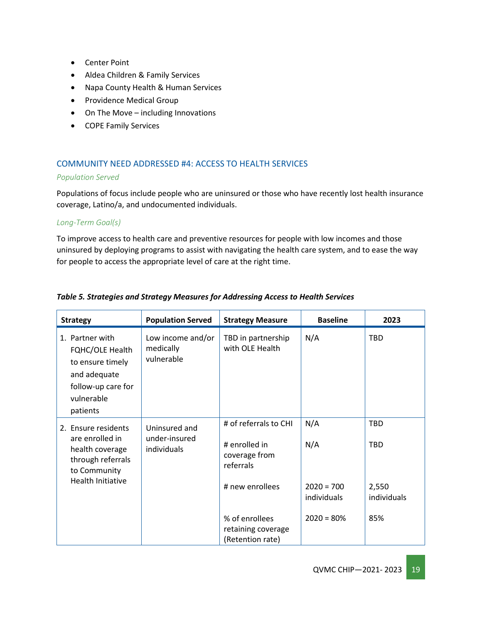- Center Point
- Aldea Children & Family Services
- Napa County Health & Human Services
- Providence Medical Group
- On The Move including Innovations
- COPE Family Services

#### COMMUNITY NEED ADDRESSED #4: ACCESS TO HEALTH SERVICES

#### *Population Served*

Populations of focus include people who are uninsured or those who have recently lost health insurance coverage, Latino/a, and undocumented individuals.

#### *Long-Term Goal(s)*

To improve access to health care and preventive resources for people with low incomes and those uninsured by deploying programs to assist with navigating the health care system, and to ease the way for people to access the appropriate level of care at the right time.

| <b>Strategy</b>                                                                                                            | <b>Population Served</b>                      | <b>Strategy Measure</b>                                                                 | <b>Baseline</b>                           | 2023                                             |
|----------------------------------------------------------------------------------------------------------------------------|-----------------------------------------------|-----------------------------------------------------------------------------------------|-------------------------------------------|--------------------------------------------------|
| 1. Partner with<br>FQHC/OLE Health<br>to ensure timely<br>and adequate<br>follow-up care for<br>vulnerable<br>patients     | Low income and/or<br>medically<br>vulnerable  | TBD in partnership<br>with OLE Health                                                   | N/A                                       | <b>TBD</b>                                       |
| 2. Ensure residents<br>are enrolled in<br>health coverage<br>through referrals<br>to Community<br><b>Health Initiative</b> | Uninsured and<br>under-insured<br>individuals | # of referrals to CHI<br># enrolled in<br>coverage from<br>referrals<br># new enrollees | N/A<br>N/A<br>$2020 = 700$<br>individuals | <b>TBD</b><br><b>TBD</b><br>2,550<br>individuals |
|                                                                                                                            |                                               | % of enrollees<br>retaining coverage<br>(Retention rate)                                | $2020 = 80%$                              | 85%                                              |

#### *Table 5. Strategies and Strategy Measures for Addressing Access to Health Services*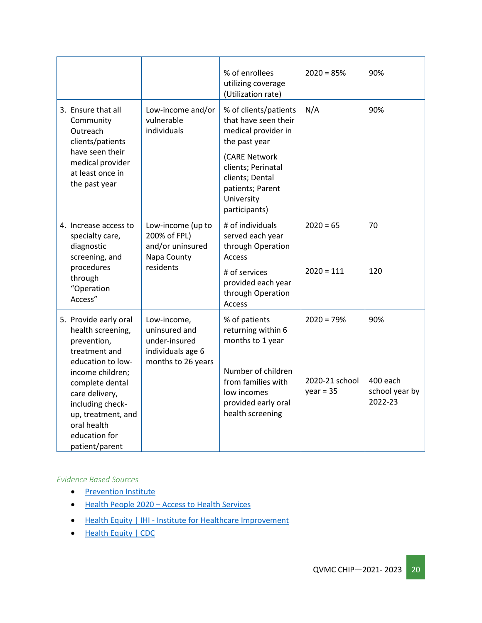|                                                                                                                                                   |                                                                                          | % of enrollees<br>utilizing coverage<br>(Utilization rate)                                                | $2020 = 85%$                  | 90%                                   |
|---------------------------------------------------------------------------------------------------------------------------------------------------|------------------------------------------------------------------------------------------|-----------------------------------------------------------------------------------------------------------|-------------------------------|---------------------------------------|
| 3. Ensure that all<br>Community<br>Outreach<br>clients/patients                                                                                   | Low-income and/or<br>vulnerable<br>individuals                                           | % of clients/patients<br>that have seen their<br>medical provider in<br>the past year                     | N/A                           | 90%                                   |
| have seen their<br>medical provider<br>at least once in<br>the past year                                                                          |                                                                                          | (CARE Network<br>clients; Perinatal<br>clients; Dental<br>patients; Parent<br>University<br>participants) |                               |                                       |
| 4. Increase access to<br>specialty care,<br>diagnostic<br>screening, and                                                                          | Low-income (up to<br>200% of FPL)<br>and/or uninsured<br>Napa County                     | # of individuals<br>served each year<br>through Operation<br>Access                                       | $2020 = 65$                   | 70                                    |
| procedures<br>through<br>"Operation<br>Access"                                                                                                    | residents                                                                                | # of services<br>provided each year<br>through Operation<br>Access                                        | $2020 = 111$                  | 120                                   |
| 5. Provide early oral<br>health screening,<br>prevention,<br>treatment and<br>education to low-                                                   | Low-income,<br>uninsured and<br>under-insured<br>individuals age 6<br>months to 26 years | % of patients<br>returning within 6<br>months to 1 year                                                   | $2020 = 79%$                  | 90%                                   |
| income children;<br>complete dental<br>care delivery,<br>including check-<br>up, treatment, and<br>oral health<br>education for<br>patient/parent |                                                                                          | Number of children<br>from families with<br>low incomes<br>provided early oral<br>health screening        | 2020-21 school<br>$year = 35$ | 400 each<br>school year by<br>2022-23 |

#### *Evidence Based Sources*

- **[Prevention Institute](https://www.preventioninstitute.org/)**
- Health People 2020 [Access to Health Services](https://www.healthypeople.gov/2020/tools-resources/Evidence-Based-Resources?f%5B%5D=field_ebr_topic_area%3A3495&ci=0&se=0&pop=)
- Health Equity | IHI [Institute for Healthcare Improvement](http://www.ihi.org/Topics/Health-Equity/Pages/default.aspx)
- [Health Equity | CDC](https://www.cdc.gov/chronicdisease/healthequity/index.htm)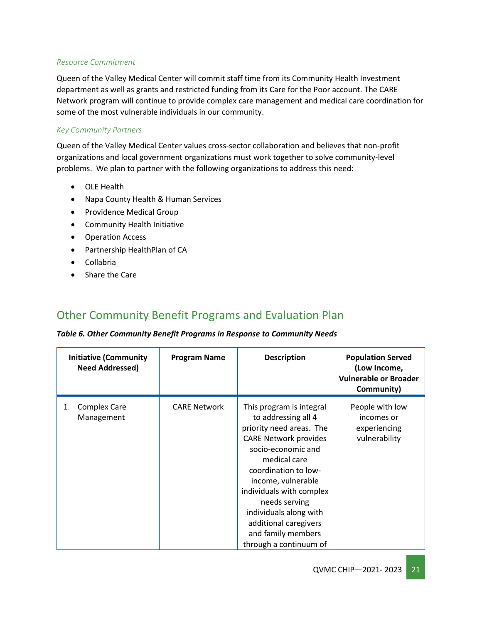#### *Resource Commitment*

Queen of the Valley Medical Center will commit staff time from its Community Health Investment department as well as grants and restricted funding from its Care for the Poor account. The CARE Network program will continue to provide complex care management and medical care coordination for some of the most vulnerable individuals in our community.

#### *Key Community Partners*

Queen of the Valley Medical Center values cross-sector collaboration and believes that non-profit organizations and local government organizations must work together to solve community-level problems. We plan to partner with the following organizations to address this need:

- OLE Health
- Napa County Health & Human Services
- Providence Medical Group
- Community Health Initiative
- Operation Access
- Partnership HealthPlan of CA
- Collabria
- Share the Care

## <span id="page-20-0"></span>Other Community Benefit Programs and Evaluation Plan

#### *Table 6. Other Community Benefit Programs in Response to Community Needs*

| <b>Initiative (Community</b><br><b>Need Addressed)</b> | <b>Program Name</b> | <b>Description</b>                                                                                                                                                                                                                                                                                                                              | <b>Population Served</b><br>(Low Income,<br><b>Vulnerable or Broader</b><br>Community) |
|--------------------------------------------------------|---------------------|-------------------------------------------------------------------------------------------------------------------------------------------------------------------------------------------------------------------------------------------------------------------------------------------------------------------------------------------------|----------------------------------------------------------------------------------------|
| <b>Complex Care</b><br>1.<br>Management                | <b>CARE Network</b> | This program is integral<br>to addressing all 4<br>priority need areas. The<br><b>CARE Network provides</b><br>socio-economic and<br>medical care<br>coordination to low-<br>income, vulnerable<br>individuals with complex<br>needs serving<br>individuals along with<br>additional caregivers<br>and family members<br>through a continuum of | People with low<br>incomes or<br>experiencing<br>vulnerability                         |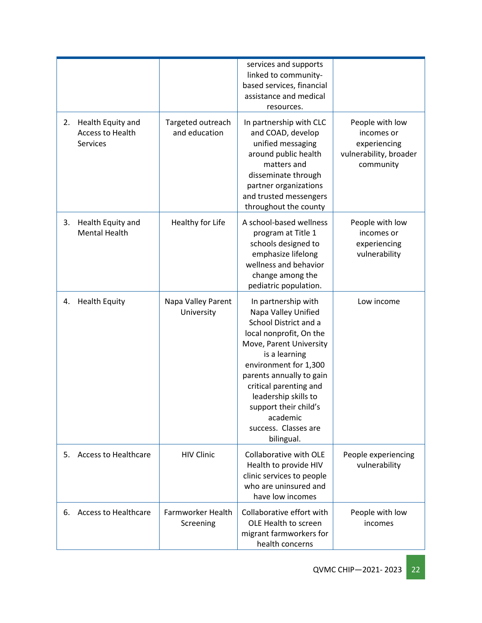|    |                                                                 |                                    | services and supports<br>linked to community-<br>based services, financial<br>assistance and medical<br>resources.                                                                                                                                                                                                           |                                                                                      |
|----|-----------------------------------------------------------------|------------------------------------|------------------------------------------------------------------------------------------------------------------------------------------------------------------------------------------------------------------------------------------------------------------------------------------------------------------------------|--------------------------------------------------------------------------------------|
| 2. | Health Equity and<br><b>Access to Health</b><br><b>Services</b> | Targeted outreach<br>and education | In partnership with CLC<br>and COAD, develop<br>unified messaging<br>around public health<br>matters and<br>disseminate through<br>partner organizations<br>and trusted messengers<br>throughout the county                                                                                                                  | People with low<br>incomes or<br>experiencing<br>vulnerability, broader<br>community |
| 3. | Health Equity and<br><b>Mental Health</b>                       | Healthy for Life                   | A school-based wellness<br>program at Title 1<br>schools designed to<br>emphasize lifelong<br>wellness and behavior<br>change among the<br>pediatric population.                                                                                                                                                             | People with low<br>incomes or<br>experiencing<br>vulnerability                       |
| 4. | <b>Health Equity</b>                                            | Napa Valley Parent<br>University   | In partnership with<br>Napa Valley Unified<br>School District and a<br>local nonprofit, On the<br>Move, Parent University<br>is a learning<br>environment for 1,300<br>parents annually to gain<br>critical parenting and<br>leadership skills to<br>support their child's<br>academic<br>success. Classes are<br>bilingual. | Low income                                                                           |
| 5. | <b>Access to Healthcare</b>                                     | <b>HIV Clinic</b>                  | Collaborative with OLE<br>Health to provide HIV<br>clinic services to people<br>who are uninsured and<br>have low incomes                                                                                                                                                                                                    | People experiencing<br>vulnerability                                                 |
| 6. | <b>Access to Healthcare</b>                                     | Farmworker Health<br>Screening     | Collaborative effort with<br>OLE Health to screen<br>migrant farmworkers for<br>health concerns                                                                                                                                                                                                                              | People with low<br>incomes                                                           |